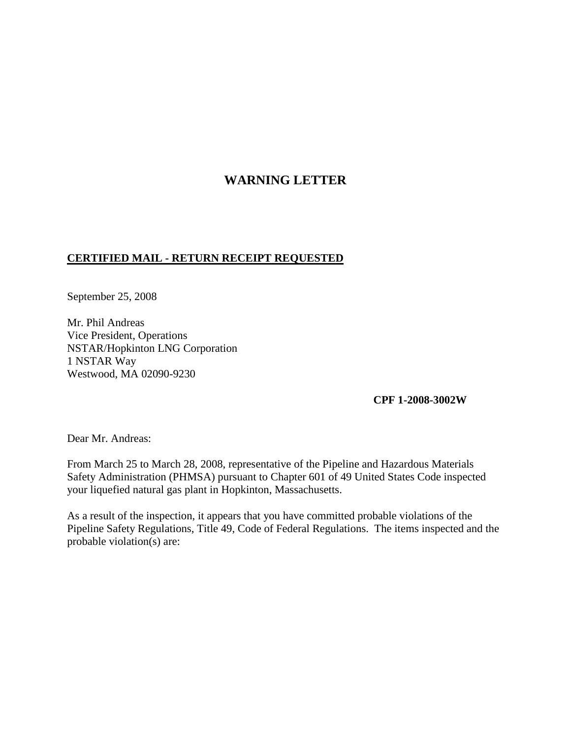## **WARNING LETTER**

## **CERTIFIED MAIL - RETURN RECEIPT REQUESTED**

September 25, 2008

Mr. Phil Andreas Vice President, Operations NSTAR/Hopkinton LNG Corporation 1 NSTAR Way Westwood, MA 02090-9230

**CPF 1-2008-3002W**

Dear Mr. Andreas:

From March 25 to March 28, 2008, representative of the Pipeline and Hazardous Materials Safety Administration (PHMSA) pursuant to Chapter 601 of 49 United States Code inspected your liquefied natural gas plant in Hopkinton, Massachusetts.

As a result of the inspection, it appears that you have committed probable violations of the Pipeline Safety Regulations, Title 49, Code of Federal Regulations. The items inspected and the probable violation(s) are: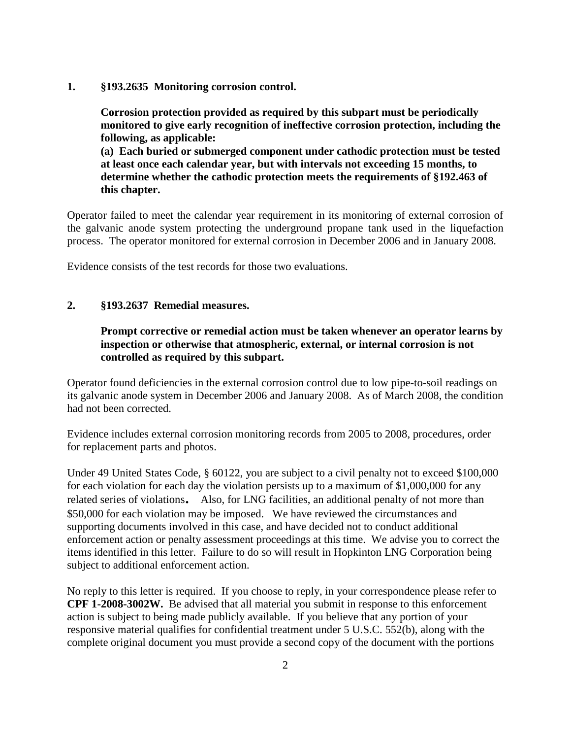**1. §193.2635 Monitoring corrosion control.**

**Corrosion protection provided as required by this subpart must be periodically monitored to give early recognition of ineffective corrosion protection, including the following, as applicable:**

**(a) Each buried or submerged component under cathodic protection must be tested at least once each calendar year, but with intervals not exceeding 15 months, to determine whether the cathodic protection meets the requirements of §192.463 of this chapter.**

Operator failed to meet the calendar year requirement in its monitoring of external corrosion of the galvanic anode system protecting the underground propane tank used in the liquefaction process. The operator monitored for external corrosion in December 2006 and in January 2008.

Evidence consists of the test records for those two evaluations.

## **2. §193.2637 Remedial measures.**

## **Prompt corrective or remedial action must be taken whenever an operator learns by inspection or otherwise that atmospheric, external, or internal corrosion is not controlled as required by this subpart.**

Operator found deficiencies in the external corrosion control due to low pipe-to-soil readings on its galvanic anode system in December 2006 and January 2008. As of March 2008, the condition had not been corrected.

Evidence includes external corrosion monitoring records from 2005 to 2008, procedures, order for replacement parts and photos.

Under 49 United States Code, § 60122, you are subject to a civil penalty not to exceed \$100,000 for each violation for each day the violation persists up to a maximum of \$1,000,000 for any related series of violations. Also, for LNG facilities, an additional penalty of not more than \$50,000 for each violation may be imposed. We have reviewed the circumstances and supporting documents involved in this case, and have decided not to conduct additional enforcement action or penalty assessment proceedings at this time. We advise you to correct the items identified in this letter. Failure to do so will result in Hopkinton LNG Corporation being subject to additional enforcement action.

No reply to this letter is required. If you choose to reply, in your correspondence please refer to **CPF 1-2008-3002W.** Be advised that all material you submit in response to this enforcement action is subject to being made publicly available. If you believe that any portion of your responsive material qualifies for confidential treatment under 5 U.S.C. 552(b), along with the complete original document you must provide a second copy of the document with the portions